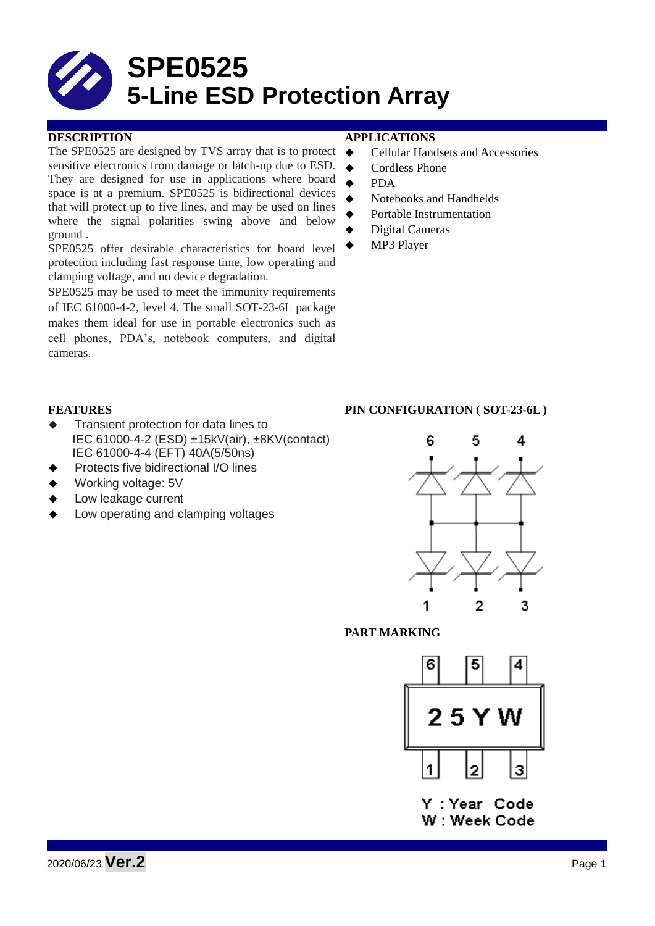

The SPE0525 are designed by TVS array that is to protect  $\triangleleft$ sensitive electronics from damage or latch-up due to ESD. They are designed for use in applications where board space is at a premium. SPE0525 is bidirectional devices that will protect up to five lines, and may be used on lines where the signal polarities swing above and below ground .

SPE0525 offer desirable characteristics for board level protection including fast response time, low operating and clamping voltage, and no device degradation.

SPE0525 may be used to meet the immunity requirements of IEC 61000-4-2, level 4. The small SOT-23-6L package makes them ideal for use in portable electronics such as cell phones, PDA's, notebook computers, and digital cameras.

### **DESCRIPTION APPLICATIONS**

- Cellular Handsets and Accessories
- ◆ Cordless Phone
- PDA
- Notebooks and Handhelds
- Portable Instrumentation
- Digital Cameras
- MP3 Player

- **Transient protection for data lines to** IEC 61000-4-2 (ESD) ±15kV(air), ±8KV(contact) IEC 61000-4-4 (EFT) 40A(5/50ns)
- Protects five bidirectional I/O lines
- Working voltage: 5V
- Low leakage current
- Low operating and clamping voltages

## **FEATURES PIN CONFIGURATION ( SOT-23-6L )**



## **PART MARKING**



Y: Year Code W: Week Code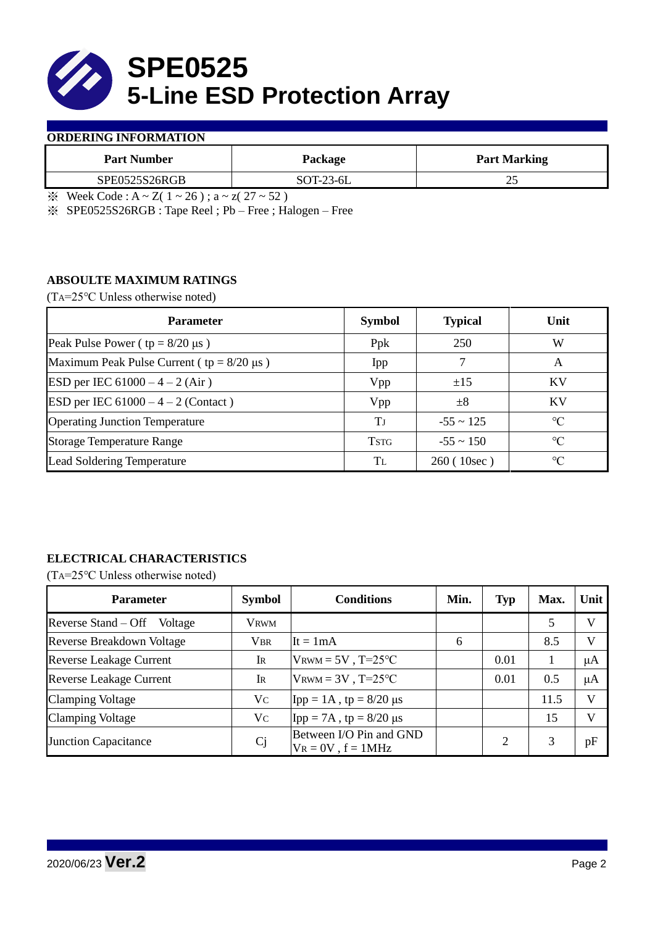

## **ORDERING INFORMATION**

| <b>Part Number</b> | Package     | <b>Part Marking</b> |  |  |
|--------------------|-------------|---------------------|--|--|
| SPE0525S26RGB      | $SOT-23-6L$ | ∼                   |  |  |
|                    | .<br>___    |                     |  |  |

 $\frac{1}{2}$  Week Code : A ~ Z( 1 ~ 26); a ~ z( 27 ~ 52)

※ SPE0525S26RGB : Tape Reel ; Pb – Free ; Halogen – Free

## **ABSOULTE MAXIMUM RATINGS**

(TA=25℃ Unless otherwise noted)

| <b>Parameter</b>                                 | <b>Symbol</b> | <b>Typical</b> | Unit            |  |
|--------------------------------------------------|---------------|----------------|-----------------|--|
| Peak Pulse Power ( $tp = 8/20 \mu s$ )           | Ppk           | 250            | W               |  |
| Maximum Peak Pulse Current ( $tp = 8/20 \mu s$ ) | Ipp           |                | A               |  |
| ESD per IEC $61000 - 4 - 2$ (Air)                | Vpp           | ±15            | <b>KV</b>       |  |
| <b>ESD</b> per IEC $61000 - 4 - 2$ (Contact)     | Vpp           | $\pm 8$        | KV              |  |
| <b>Operating Junction Temperature</b>            | Tі            | $-55 \sim 125$ | $\rm ^{\circ}C$ |  |
| <b>Storage Temperature Range</b>                 | <b>TSTG</b>   | $-55 \sim 150$ | $\rm ^{\circ}C$ |  |
| Lead Soldering Temperature                       | Tī.           | 260(10sec)     | $\rm ^{\circ}C$ |  |

# **ELECTRICAL CHARACTERISTICS**

(TA=25℃ Unless otherwise noted)

| <b>Parameter</b>                 | <b>Symbol</b> | <b>Conditions</b>                                  | Min. | <b>Typ</b> | Max. | Unit         |
|----------------------------------|---------------|----------------------------------------------------|------|------------|------|--------------|
| Reverse Stand – Off<br>Voltage   | <b>VRWM</b>   |                                                    |      |            | 5    | V            |
| <b>Reverse Breakdown Voltage</b> | <b>VBR</b>    | It = $1mA$                                         | 6    |            | 8.5  | $\mathbf{V}$ |
| <b>Reverse Leakage Current</b>   | IR            | $V_{\text{RWM}} = 5V$ , T=25°C                     |      | 0.01       |      | μA           |
| <b>Reverse Leakage Current</b>   | IR            | $V_{\text{RWM}} = 3V$ , T=25°C                     |      | 0.01       | 0.5  | μA           |
| <b>Clamping Voltage</b>          | Vc            | Ipp = $1A$ , tp = $8/20 \mu s$                     |      |            | 11.5 | V            |
| <b>Clamping Voltage</b>          | Vc            | Ipp = 7A, tp = $8/20 \mu s$                        |      |            | 15   | $\mathbf{V}$ |
| <b>Junction Capacitance</b>      | Cj            | Between I/O Pin and GND<br>$V_R = 0V$ , $f = 1MHz$ |      |            |      | pF           |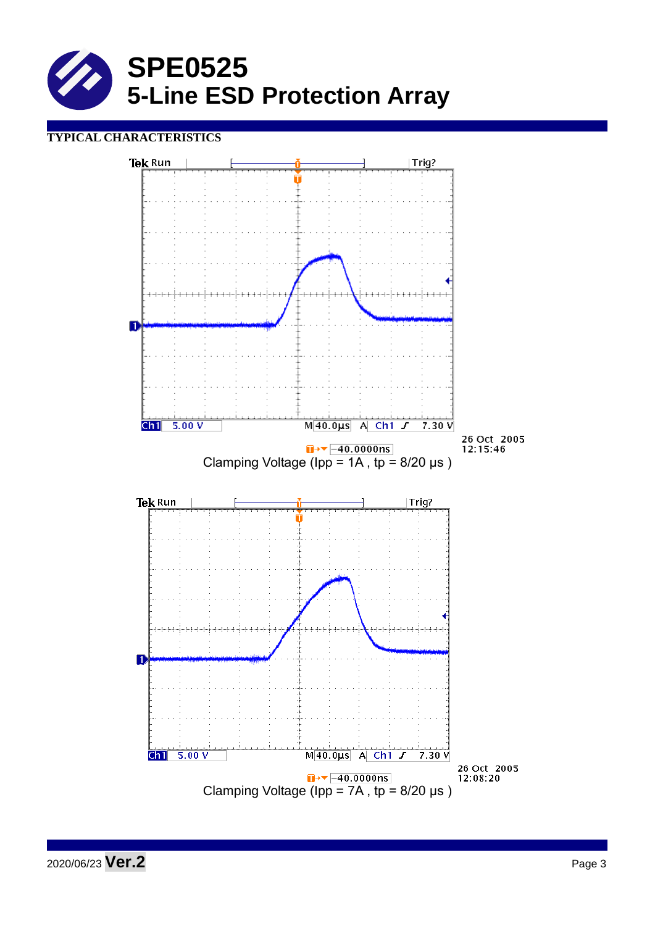

## **TYPICAL CHARACTERISTICS**

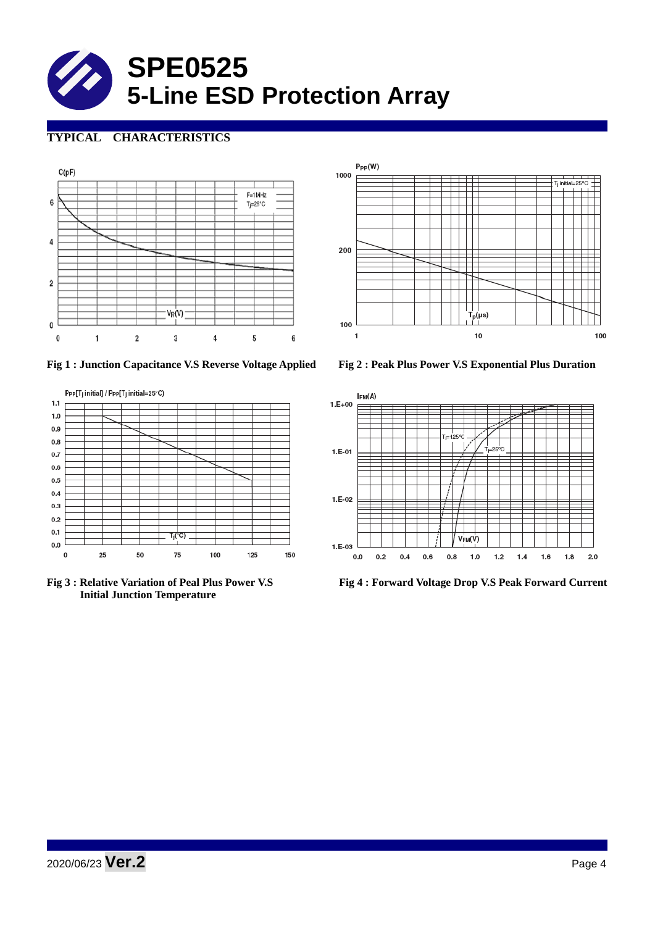

# **TYPICAL CHARACTERISTICS**







 **Initial Junction Temperature** 





**Fig 3 : Relative Variation of Peal Plus Power V.S Fig 4 : Forward Voltage Drop V.S Peak Forward Current**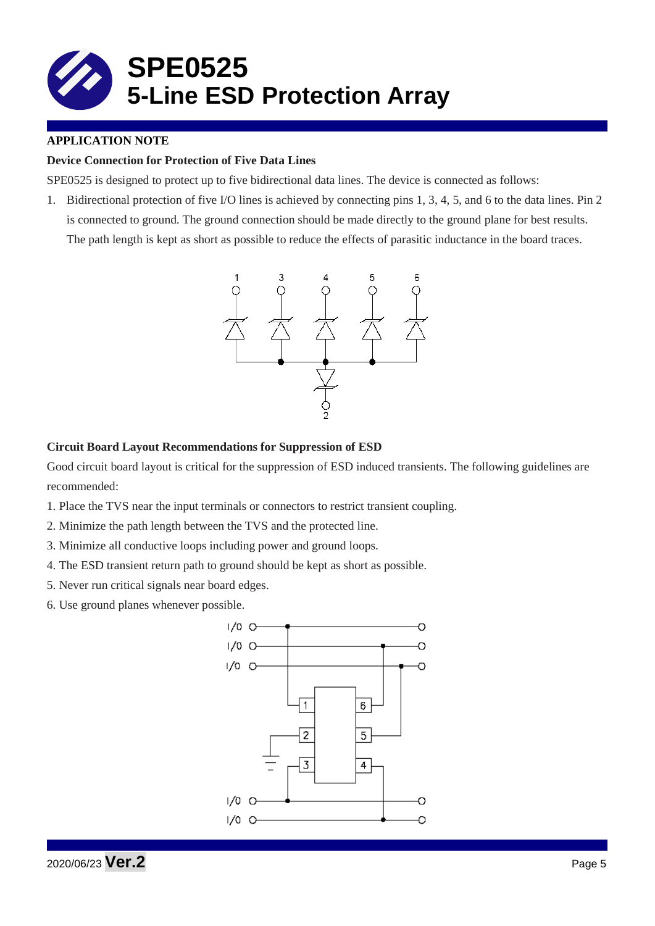

## **APPLICATION NOTE**

## **Device Connection for Protection of Five Data Lines**

SPE0525 is designed to protect up to five bidirectional data lines. The device is connected as follows:

1. Bidirectional protection of five I/O lines is achieved by connecting pins 1, 3, 4, 5, and 6 to the data lines. Pin 2 is connected to ground. The ground connection should be made directly to the ground plane for best results. The path length is kept as short as possible to reduce the effects of parasitic inductance in the board traces.



#### **Circuit Board Layout Recommendations for Suppression of ESD**

Good circuit board layout is critical for the suppression of ESD induced transients. The following guidelines are recommended:

- 1. Place the TVS near the input terminals or connectors to restrict transient coupling.
- 2. Minimize the path length between the TVS and the protected line.
- 3. Minimize all conductive loops including power and ground loops.
- 4. The ESD transient return path to ground should be kept as short as possible.
- 5. Never run critical signals near board edges.
- 6. Use ground planes whenever possible.